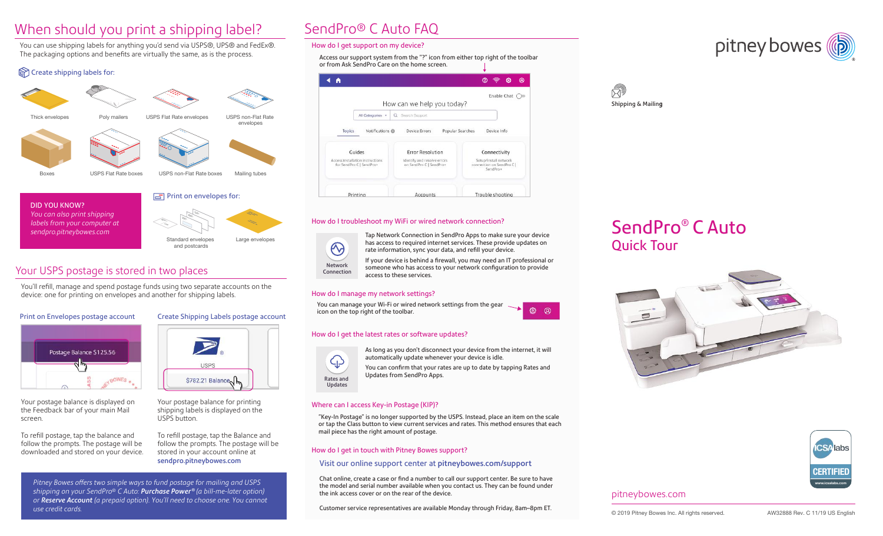# When should you print a shipping label?

You can use shipping labels for anything you'd send via USPS®, UPS® and FedEx®. The packaging options and benefits are virtually the same, as is the process.

### Create shipping labels for:



*labels from your computer at sendpro.pitneybowes.com*



### Your USPS postage is stored in two places

You'll refill, manage and spend postage funds using two separate accounts on the device: one for printing on envelopes and another for shipping labels.

### Print on Envelopes postage account



Your postage balance is displayed on the Feedback bar of your main Mail screen.

To refill postage, tap the balance and follow the prompts. The postage will be downloaded and stored on your device.

Create Shipping Labels postage account



Your postage balance for printing shipping labels is displayed on the USPS button.

To refill postage, tap the Balance and follow the prompts. The postage will be stored in your account online at sendpro.pitneybowes.com

*Pitney Bowes offers two simple ways to fund postage for mailing and USPS shipping on your SendPro® C Auto: Purchase Power ® (a bill-me-later option) or Reserve Account (a prepaid option). You'll need to choose one. You cannot use credit cards.* 

# SendPro® C Auto FAQ

### How do I get support on my device?

Access our support system from the "?" icon from either top right of the toolbar or from Ask SendPro Care on the home screen.



### How do I troubleshoot my WiFi or wired network connection?



Tap Network Connection in SendPro Apps to make sure your device has access to required internet services. These provide updates on rate information, sync your data, and refill your device.

If your device is behind a firewall, you may need an IT professional or someone who has access to your network configuration to provide access to these services.

### How do I manage my network settings?

You can manage your Wi-Fi or wired network settings from the gear icon on the top right of the toolbar.



### How do I get the latest rates or software updates?



As long as you don't disconnect your device from the internet, it will automatically update whenever your device is idle.

You can confirm that your rates are up to date by tapping Rates and Updates from SendPro Apps.

### Where can I access Key-in Postage (KIP)?

"Key-In Postage" is no longer supported by the USPS. Instead, place an item on the scale or tap the Class button to view current services and rates. This method ensures that each mail piece has the right amount of postage.

### How do I get in touch with Pitney Bowes support?

#### Visit our online support center at pitneybowes.com/support

Chat online, create a case or find a number to call our support center. Be sure to have the model and serial number available when you contact us. They can be found under the ink access cover or on the rear of the device.

Customer service representatives are available Monday through Friday, 8am–8pm ET.





# SendPro® C Auto Quick Tour





### pitneybowes.com